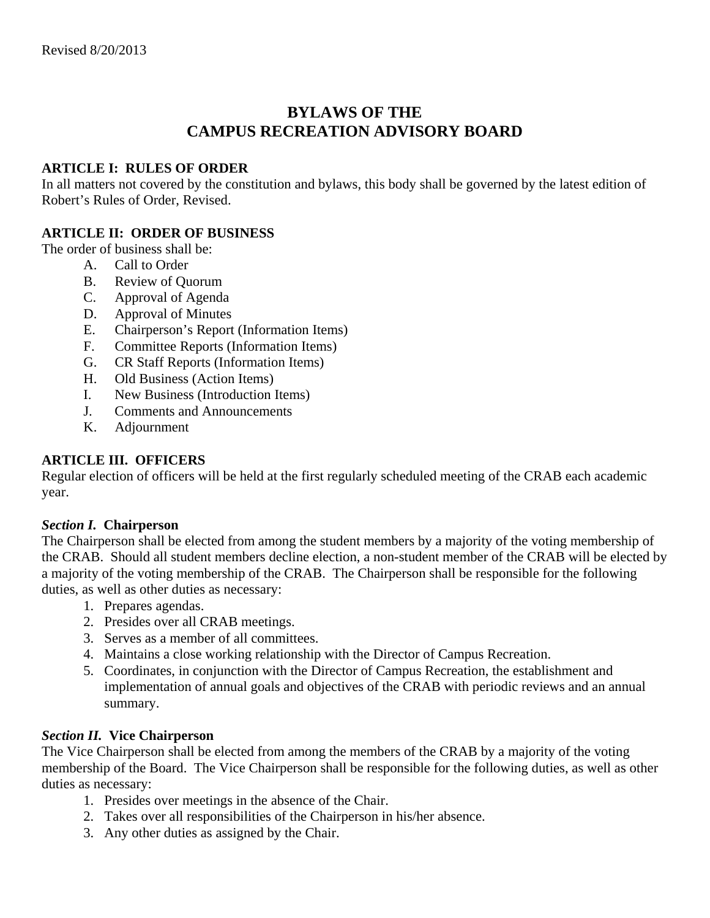# **BYLAWS OF THE CAMPUS RECREATION ADVISORY BOARD**

#### **ARTICLE I: RULES OF ORDER**

In all matters not covered by the constitution and bylaws, this body shall be governed by the latest edition of Robert's Rules of Order, Revised.

## **ARTICLE II: ORDER OF BUSINESS**

The order of business shall be:

- A. Call to Order
- B. Review of Quorum
- C. Approval of Agenda
- D. Approval of Minutes
- E. Chairperson's Report (Information Items)
- F. Committee Reports (Information Items)
- G. CR Staff Reports (Information Items)
- H. Old Business (Action Items)
- I. New Business (Introduction Items)
- J. Comments and Announcements
- K. Adjournment

## **ARTICLE III. OFFICERS**

Regular election of officers will be held at the first regularly scheduled meeting of the CRAB each academic year.

#### *Section I.* **Chairperson**

The Chairperson shall be elected from among the student members by a majority of the voting membership of the CRAB. Should all student members decline election, a non-student member of the CRAB will be elected by a majority of the voting membership of the CRAB. The Chairperson shall be responsible for the following duties, as well as other duties as necessary:

- 1. Prepares agendas.
- 2. Presides over all CRAB meetings.
- 3. Serves as a member of all committees.
- 4. Maintains a close working relationship with the Director of Campus Recreation.
- 5. Coordinates, in conjunction with the Director of Campus Recreation, the establishment and implementation of annual goals and objectives of the CRAB with periodic reviews and an annual summary.

#### *Section II.* **Vice Chairperson**

The Vice Chairperson shall be elected from among the members of the CRAB by a majority of the voting membership of the Board. The Vice Chairperson shall be responsible for the following duties, as well as other duties as necessary:

- 1. Presides over meetings in the absence of the Chair.
- 2. Takes over all responsibilities of the Chairperson in his/her absence.
- 3. Any other duties as assigned by the Chair.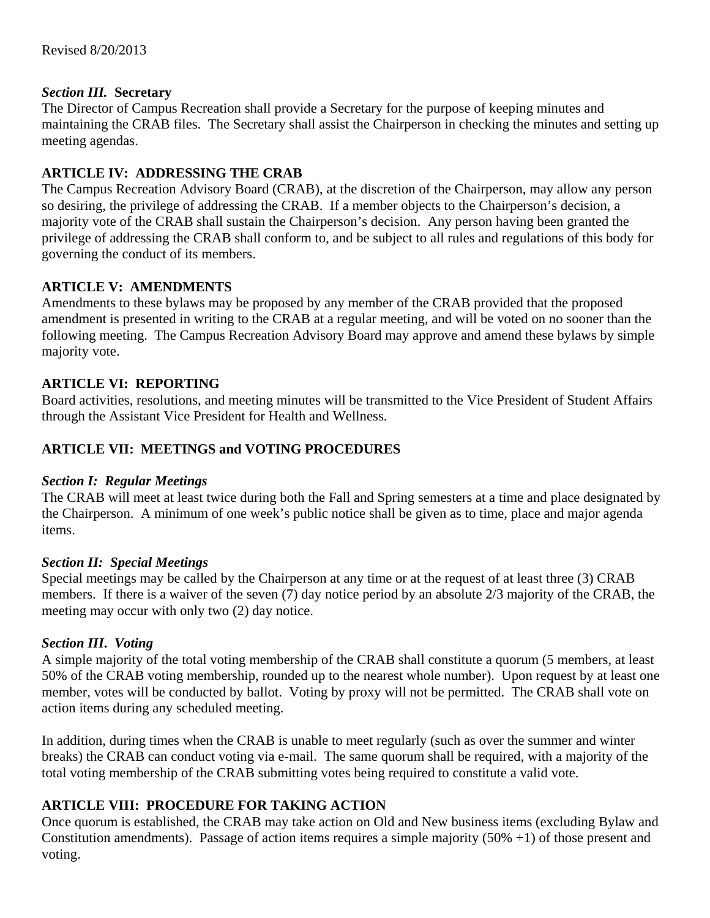## *Section III.* **Secretary**

The Director of Campus Recreation shall provide a Secretary for the purpose of keeping minutes and maintaining the CRAB files. The Secretary shall assist the Chairperson in checking the minutes and setting up meeting agendas.

# **ARTICLE IV: ADDRESSING THE CRAB**

The Campus Recreation Advisory Board (CRAB), at the discretion of the Chairperson, may allow any person so desiring, the privilege of addressing the CRAB. If a member objects to the Chairperson's decision, a majority vote of the CRAB shall sustain the Chairperson's decision. Any person having been granted the privilege of addressing the CRAB shall conform to, and be subject to all rules and regulations of this body for governing the conduct of its members.

# **ARTICLE V: AMENDMENTS**

Amendments to these bylaws may be proposed by any member of the CRAB provided that the proposed amendment is presented in writing to the CRAB at a regular meeting, and will be voted on no sooner than the following meeting. The Campus Recreation Advisory Board may approve and amend these bylaws by simple majority vote.

# **ARTICLE VI: REPORTING**

Board activities, resolutions, and meeting minutes will be transmitted to the Vice President of Student Affairs through the Assistant Vice President for Health and Wellness.

# **ARTICLE VII: MEETINGS and VOTING PROCEDURES**

## *Section I:**Regular Meetings*

The CRAB will meet at least twice during both the Fall and Spring semesters at a time and place designated by the Chairperson. A minimum of one week's public notice shall be given as to time, place and major agenda items.

## *Section II:**Special Meetings*

Special meetings may be called by the Chairperson at any time or at the request of at least three (3) CRAB members. If there is a waiver of the seven (7) day notice period by an absolute 2/3 majority of the CRAB, the meeting may occur with only two (2) day notice.

## *Section III***.** *Voting*

A simple majority of the total voting membership of the CRAB shall constitute a quorum (5 members, at least 50% of the CRAB voting membership, rounded up to the nearest whole number). Upon request by at least one member, votes will be conducted by ballot. Voting by proxy will not be permitted. The CRAB shall vote on action items during any scheduled meeting.

In addition, during times when the CRAB is unable to meet regularly (such as over the summer and winter breaks) the CRAB can conduct voting via e-mail. The same quorum shall be required, with a majority of the total voting membership of the CRAB submitting votes being required to constitute a valid vote.

## **ARTICLE VIII: PROCEDURE FOR TAKING ACTION**

Once quorum is established, the CRAB may take action on Old and New business items (excluding Bylaw and Constitution amendments). Passage of action items requires a simple majority (50% +1) of those present and voting.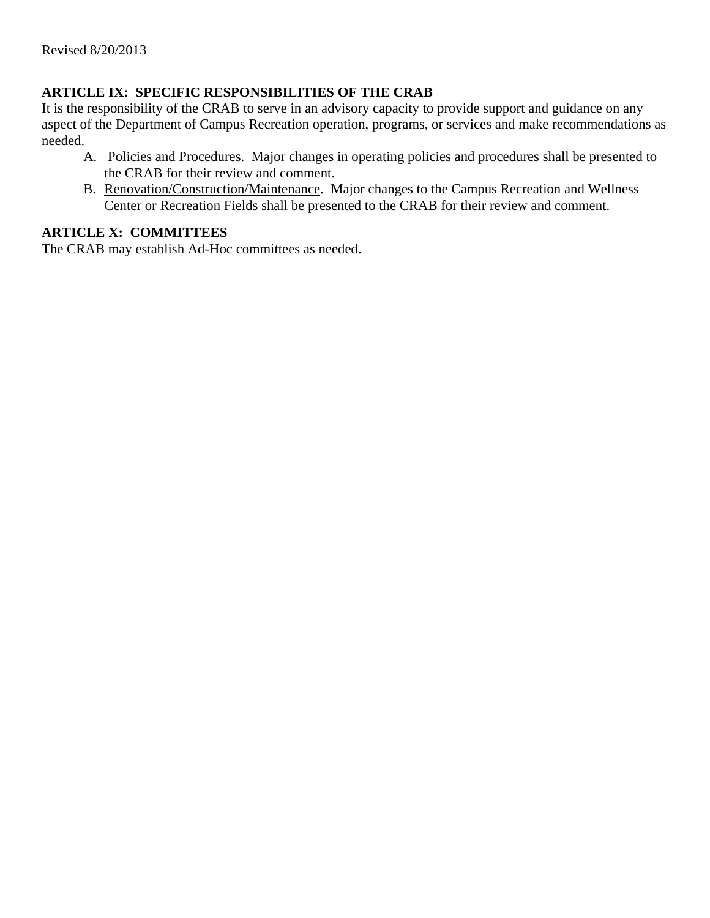# **ARTICLE IX: SPECIFIC RESPONSIBILITIES OF THE CRAB**

It is the responsibility of the CRAB to serve in an advisory capacity to provide support and guidance on any aspect of the Department of Campus Recreation operation, programs, or services and make recommendations as needed.

- A. Policies and Procedures. Major changes in operating policies and procedures shall be presented to the CRAB for their review and comment.
- B. Renovation/Construction/Maintenance. Major changes to the Campus Recreation and Wellness Center or Recreation Fields shall be presented to the CRAB for their review and comment.

## **ARTICLE X: COMMITTEES**

The CRAB may establish Ad-Hoc committees as needed.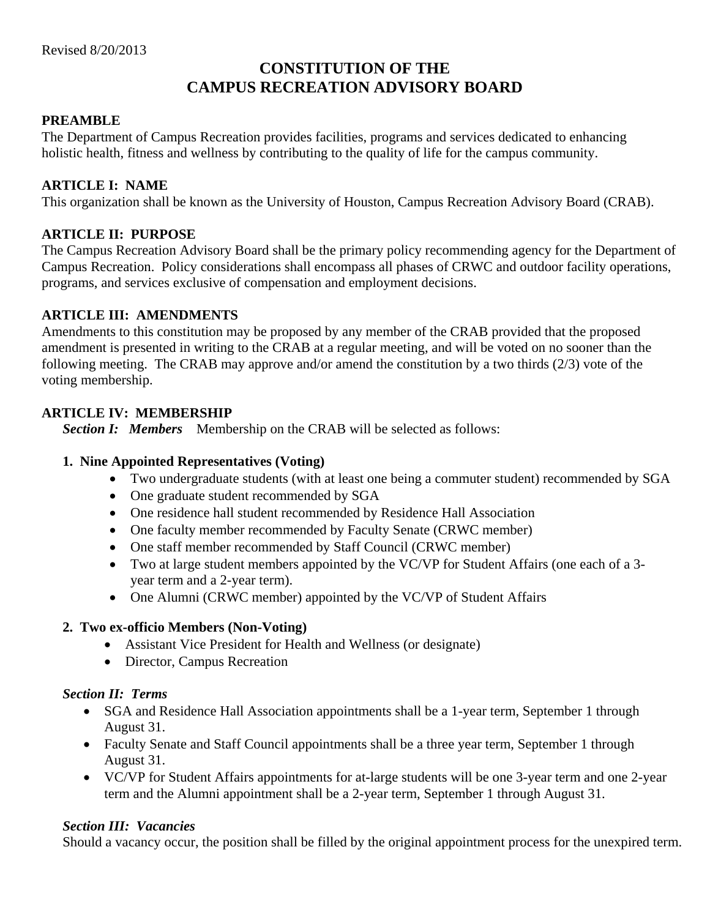# **CONSTITUTION OF THE CAMPUS RECREATION ADVISORY BOARD**

#### **PREAMBLE**

The Department of Campus Recreation provides facilities, programs and services dedicated to enhancing holistic health, fitness and wellness by contributing to the quality of life for the campus community.

#### **ARTICLE I: NAME**

This organization shall be known as the University of Houston, Campus Recreation Advisory Board (CRAB).

#### **ARTICLE II: PURPOSE**

The Campus Recreation Advisory Board shall be the primary policy recommending agency for the Department of Campus Recreation. Policy considerations shall encompass all phases of CRWC and outdoor facility operations, programs, and services exclusive of compensation and employment decisions.

#### **ARTICLE III: AMENDMENTS**

Amendments to this constitution may be proposed by any member of the CRAB provided that the proposed amendment is presented in writing to the CRAB at a regular meeting, and will be voted on no sooner than the following meeting. The CRAB may approve and/or amend the constitution by a two thirds (2/3) vote of the voting membership.

## **ARTICLE IV: MEMBERSHIP**

**Section I: Members** Membership on the CRAB will be selected as follows:

#### **1. Nine Appointed Representatives (Voting)**

- Two undergraduate students (with at least one being a commuter student) recommended by SGA
- One graduate student recommended by SGA
- One residence hall student recommended by Residence Hall Association
- One faculty member recommended by Faculty Senate (CRWC member)
- One staff member recommended by Staff Council (CRWC member)
- Two at large student members appointed by the VC/VP for Student Affairs (one each of a 3 year term and a 2-year term).
- One Alumni (CRWC member) appointed by the VC/VP of Student Affairs

#### **2. Two ex-officio Members (Non-Voting)**

- Assistant Vice President for Health and Wellness (or designate)
- Director, Campus Recreation

#### *Section II: Terms*

- SGA and Residence Hall Association appointments shall be a 1-year term, September 1 through August 31.
- Faculty Senate and Staff Council appointments shall be a three year term, September 1 through August 31.
- VC/VP for Student Affairs appointments for at-large students will be one 3-year term and one 2-year term and the Alumni appointment shall be a 2-year term, September 1 through August 31.

#### *Section III: Vacancies*

Should a vacancy occur, the position shall be filled by the original appointment process for the unexpired term.